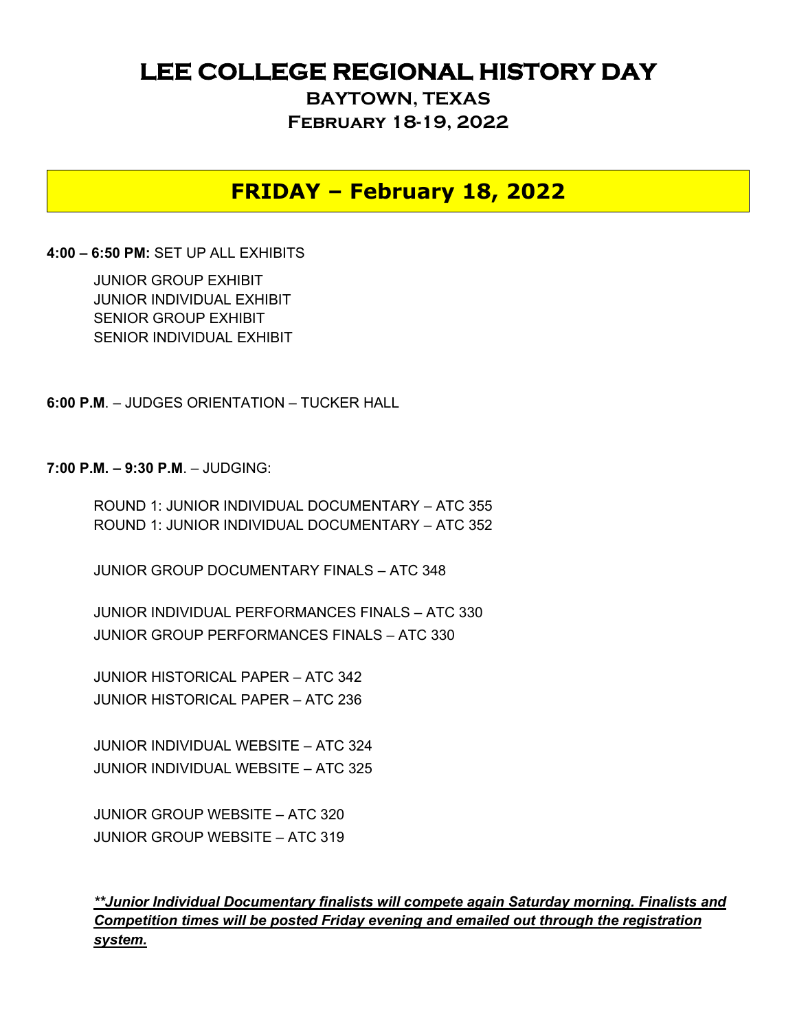## **LEE COLLEGE REGIONAL HISTORY DAY**

**BAYTOWN, TEXAS February 18-19, 2022**

### **FRIDAY – February 18, 2022**

#### **4:00 – 6:50 PM:** SET UP ALL EXHIBITS

JUNIOR GROUP EXHIBIT JUNIOR INDIVIDUAL EXHIBIT SENIOR GROUP EXHIBIT SENIOR INDIVIDUAL EXHIBIT

**6:00 P.M**. – JUDGES ORIENTATION – TUCKER HALL

**7:00 P.M. – 9:30 P.M**. – JUDGING:

ROUND 1: JUNIOR INDIVIDUAL DOCUMENTARY – ATC 355 ROUND 1: JUNIOR INDIVIDUAL DOCUMENTARY – ATC 352

JUNIOR GROUP DOCUMENTARY FINALS – ATC 348

JUNIOR INDIVIDUAL PERFORMANCES FINALS – ATC 330 JUNIOR GROUP PERFORMANCES FINALS – ATC 330

JUNIOR HISTORICAL PAPER – ATC 342 JUNIOR HISTORICAL PAPER – ATC 236

JUNIOR INDIVIDUAL WEBSITE – ATC 324 JUNIOR INDIVIDUAL WEBSITE – ATC 325

JUNIOR GROUP WEBSITE – ATC 320 JUNIOR GROUP WEBSITE – ATC 319

*\*\*Junior Individual Documentary finalists will compete again Saturday morning. Finalists and Competition times will be posted Friday evening and emailed out through the registration system.*